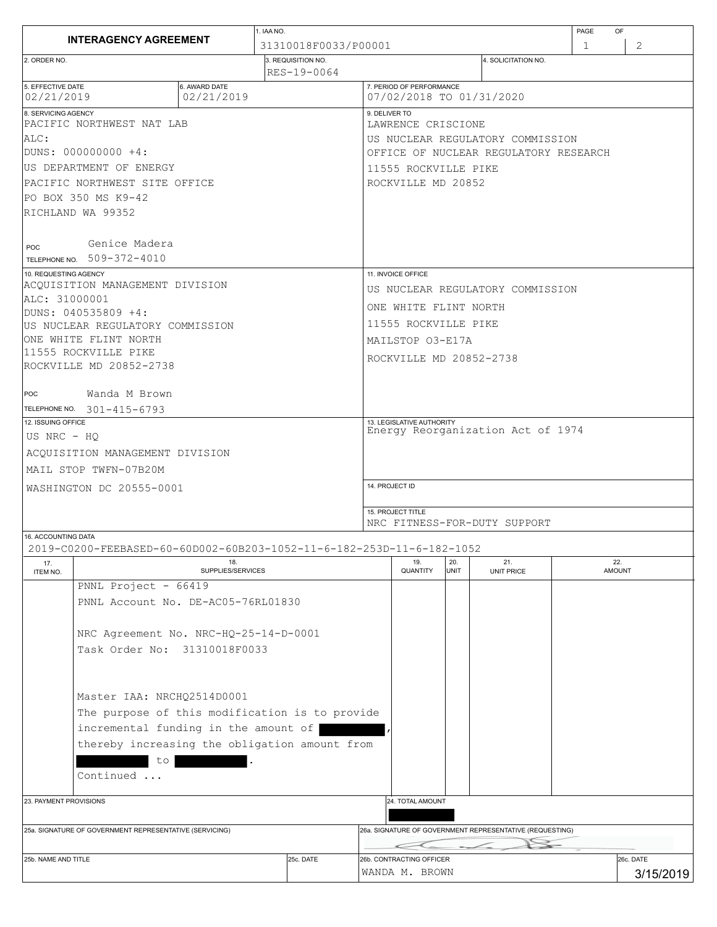|                                                                                              | 1. IAA NO.        |                                   |           |                                                      |                                                          |      | PAGE<br>OF          |   |               |  |
|----------------------------------------------------------------------------------------------|-------------------|-----------------------------------|-----------|------------------------------------------------------|----------------------------------------------------------|------|---------------------|---|---------------|--|
| <b>INTERAGENCY AGREEMENT</b><br>2. ORDER NO.                                                 |                   | 31310018F0033/P00001              |           |                                                      |                                                          |      |                     | 1 | 2             |  |
|                                                                                              |                   | 3. REQUISITION NO.<br>RES-19-0064 |           |                                                      |                                                          |      | 4. SOLICITATION NO. |   |               |  |
| 5. EFFECTIVE DATE<br>6. AWARD DATE<br>02/21/2019<br>02/21/2019                               |                   |                                   |           | 7. PERIOD OF PERFORMANCE<br>07/02/2018 TO 01/31/2020 |                                                          |      |                     |   |               |  |
| 8. SERVICING AGENCY                                                                          |                   |                                   |           | 9. DELIVER TO                                        |                                                          |      |                     |   |               |  |
| PACIFIC NORTHWEST NAT LAB                                                                    |                   |                                   |           | LAWRENCE CRISCIONE                                   |                                                          |      |                     |   |               |  |
| ALC:                                                                                         |                   |                                   |           | US NUCLEAR REGULATORY COMMISSION                     |                                                          |      |                     |   |               |  |
| DUNS: 000000000 +4:                                                                          |                   |                                   |           | OFFICE OF NUCLEAR REGULATORY RESEARCH                |                                                          |      |                     |   |               |  |
| US DEPARTMENT OF ENERGY                                                                      |                   |                                   |           | 11555 ROCKVILLE PIKE                                 |                                                          |      |                     |   |               |  |
| PACIFIC NORTHWEST SITE OFFICE                                                                |                   |                                   |           |                                                      | ROCKVILLE MD 20852                                       |      |                     |   |               |  |
| PO BOX 350 MS K9-42                                                                          |                   |                                   |           |                                                      |                                                          |      |                     |   |               |  |
| RICHLAND WA 99352                                                                            |                   |                                   |           |                                                      |                                                          |      |                     |   |               |  |
|                                                                                              |                   |                                   |           |                                                      |                                                          |      |                     |   |               |  |
| Genice Madera<br>POC                                                                         |                   |                                   |           |                                                      |                                                          |      |                     |   |               |  |
| TELEPHONE NO. 509-372-4010                                                                   |                   |                                   |           |                                                      |                                                          |      |                     |   |               |  |
| 10. REQUESTING AGENCY                                                                        |                   |                                   |           | 11. INVOICE OFFICE                                   |                                                          |      |                     |   |               |  |
| ACOUISITION MANAGEMENT DIVISION                                                              |                   |                                   |           | US NUCLEAR REGULATORY COMMISSION                     |                                                          |      |                     |   |               |  |
| ALC: 31000001<br>DUNS: 040535809 +4:                                                         |                   |                                   |           | ONE WHITE FLINT NORTH                                |                                                          |      |                     |   |               |  |
| US NUCLEAR REGULATORY COMMISSION                                                             |                   |                                   |           | 11555 ROCKVILLE PIKE                                 |                                                          |      |                     |   |               |  |
| ONE WHITE FLINT NORTH                                                                        |                   |                                   |           | MAILSTOP 03-E17A                                     |                                                          |      |                     |   |               |  |
| 11555 ROCKVILLE PIKE                                                                         |                   |                                   |           |                                                      |                                                          |      |                     |   |               |  |
| ROCKVILLE MD 20852-2738                                                                      |                   |                                   |           | ROCKVILLE MD 20852-2738                              |                                                          |      |                     |   |               |  |
|                                                                                              |                   |                                   |           |                                                      |                                                          |      |                     |   |               |  |
| Wanda M Brown<br><b>POC</b>                                                                  |                   |                                   |           |                                                      |                                                          |      |                     |   |               |  |
| TELEPHONE NO. 301-415-6793                                                                   |                   |                                   |           |                                                      |                                                          |      |                     |   |               |  |
| 12. ISSUING OFFICE                                                                           |                   |                                   |           |                                                      | 13. LEGISLATIVE AUTHORITY                                |      |                     |   |               |  |
| US NRC - HQ                                                                                  |                   |                                   |           | Energy Reorganization Act of 1974                    |                                                          |      |                     |   |               |  |
| ACQUISITION MANAGEMENT DIVISION                                                              |                   |                                   |           |                                                      |                                                          |      |                     |   |               |  |
| MAIL STOP TWFN-07B20M                                                                        |                   |                                   |           |                                                      |                                                          |      |                     |   |               |  |
| WASHINGTON DC 20555-0001                                                                     |                   |                                   |           | 14. PROJECT ID                                       |                                                          |      |                     |   |               |  |
|                                                                                              |                   |                                   |           |                                                      |                                                          |      |                     |   |               |  |
|                                                                                              |                   |                                   |           | 15. PROJECT TITLE                                    |                                                          |      |                     |   |               |  |
|                                                                                              |                   |                                   |           |                                                      | NRC FITNESS-FOR-DUTY SUPPORT                             |      |                     |   |               |  |
| 16. ACCOUNTING DATA<br>2019-C0200-FEEBASED-60-60D002-60B203-1052-11-6-182-253D-11-6-182-1052 |                   |                                   |           |                                                      |                                                          |      |                     |   |               |  |
| 17.                                                                                          | 18.               |                                   |           |                                                      | 19.                                                      | 20.  | 21.                 |   | 22.           |  |
| ITEM NO.                                                                                     | SUPPLIES/SERVICES |                                   |           |                                                      | QUANTITY                                                 | UNIT | <b>UNIT PRICE</b>   |   | <b>AMOUNT</b> |  |
| PNNL Project - 66419                                                                         |                   |                                   |           |                                                      |                                                          |      |                     |   |               |  |
| PNNL Account No. DE-AC05-76RL01830                                                           |                   |                                   |           |                                                      |                                                          |      |                     |   |               |  |
|                                                                                              |                   |                                   |           |                                                      |                                                          |      |                     |   |               |  |
| NRC Agreement No. NRC-HQ-25-14-D-0001                                                        |                   |                                   |           |                                                      |                                                          |      |                     |   |               |  |
| Task Order No: 31310018F0033                                                                 |                   |                                   |           |                                                      |                                                          |      |                     |   |               |  |
|                                                                                              |                   |                                   |           |                                                      |                                                          |      |                     |   |               |  |
|                                                                                              |                   |                                   |           |                                                      |                                                          |      |                     |   |               |  |
| Master IAA: NRCHO2514D0001                                                                   |                   |                                   |           |                                                      |                                                          |      |                     |   |               |  |
| The purpose of this modification is to provide                                               |                   |                                   |           |                                                      |                                                          |      |                     |   |               |  |
| incremental funding in the amount of                                                         |                   |                                   |           |                                                      |                                                          |      |                     |   |               |  |
|                                                                                              |                   |                                   |           |                                                      |                                                          |      |                     |   |               |  |
| thereby increasing the obligation amount from                                                |                   |                                   |           |                                                      |                                                          |      |                     |   |               |  |
| to                                                                                           |                   |                                   |           |                                                      |                                                          |      |                     |   |               |  |
| Continued                                                                                    |                   |                                   |           |                                                      |                                                          |      |                     |   |               |  |
|                                                                                              |                   |                                   |           |                                                      |                                                          |      |                     |   |               |  |
| 23. PAYMENT PROVISIONS                                                                       |                   |                                   |           | 24. TOTAL AMOUNT                                     |                                                          |      |                     |   |               |  |
|                                                                                              |                   |                                   |           |                                                      | 26a. SIGNATURE OF GOVERNMENT REPRESENTATIVE (REQUESTING) |      |                     |   |               |  |
| 25a. SIGNATURE OF GOVERNMENT REPRESENTATIVE (SERVICING)                                      |                   |                                   |           |                                                      |                                                          |      |                     |   |               |  |
| 25b, NAME AND TITLE                                                                          |                   |                                   | 25c. DATE |                                                      | 26b. CONTRACTING OFFICER                                 |      |                     |   | 26c. DATE     |  |
|                                                                                              |                   |                                   |           | WANDA M. BROWN                                       |                                                          |      |                     |   | 3/15/2019     |  |
|                                                                                              |                   |                                   |           |                                                      |                                                          |      |                     |   |               |  |